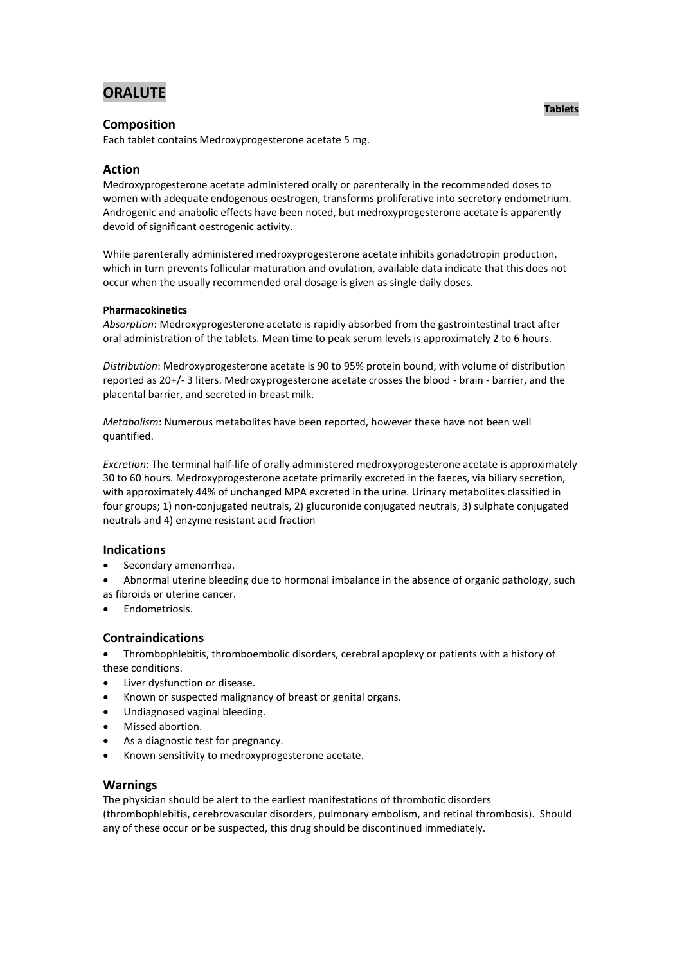# **ORALUTE**

# **Composition**

Each tablet contains Medroxyprogesterone acetate 5 mg.

# **Action**

Medroxyprogesterone acetate administered orally or parenterally in the recommended doses to women with adequate endogenous oestrogen, transforms proliferative into secretory endometrium. Androgenic and anabolic effects have been noted, but medroxyprogesterone acetate is apparently devoid of significant oestrogenic activity.

While parenterally administered medroxyprogesterone acetate inhibits gonadotropin production, which in turn prevents follicular maturation and ovulation, available data indicate that this does not occur when the usually recommended oral dosage is given as single daily doses.

## **Pharmacokinetics**

*Absorption*: Medroxyprogesterone acetate is rapidly absorbed from the gastrointestinal tract after oral administration of the tablets. Mean time to peak serum levels is approximately 2 to 6 hours.

*Distribution*: Medroxyprogesterone acetate is 90 to 95% protein bound, with volume of distribution reported as 20+/- 3 liters. Medroxyprogesterone acetate crosses the blood - brain - barrier, and the placental barrier, and secreted in breast milk.

*Metabolism*: Numerous metabolites have been reported, however these have not been well quantified.

*Excretion*: The terminal half-life of orally administered medroxyprogesterone acetate is approximately 30 to 60 hours. Medroxyprogesterone acetate primarily excreted in the faeces, via biliary secretion, with approximately 44% of unchanged MPA excreted in the urine. Urinary metabolites classified in four groups; 1) non-conjugated neutrals, 2) glucuronide conjugated neutrals, 3) sulphate conjugated neutrals and 4) enzyme resistant acid fraction

# **Indications**

- Secondary amenorrhea.
- Abnormal uterine bleeding due to hormonal imbalance in the absence of organic pathology, such as fibroids or uterine cancer.
- Endometriosis.

# **Contraindications**

 Thrombophlebitis, thromboembolic disorders, cerebral apoplexy or patients with a history of these conditions.

- Liver dysfunction or disease.
- Known or suspected malignancy of breast or genital organs.
- Undiagnosed vaginal bleeding.
- Missed abortion.
- As a diagnostic test for pregnancy.
- Known sensitivity to medroxyprogesterone acetate.

# **Warnings**

The physician should be alert to the earliest manifestations of thrombotic disorders (thrombophlebitis, cerebrovascular disorders, pulmonary embolism, and retinal thrombosis). Should any of these occur or be suspected, this drug should be discontinued immediately.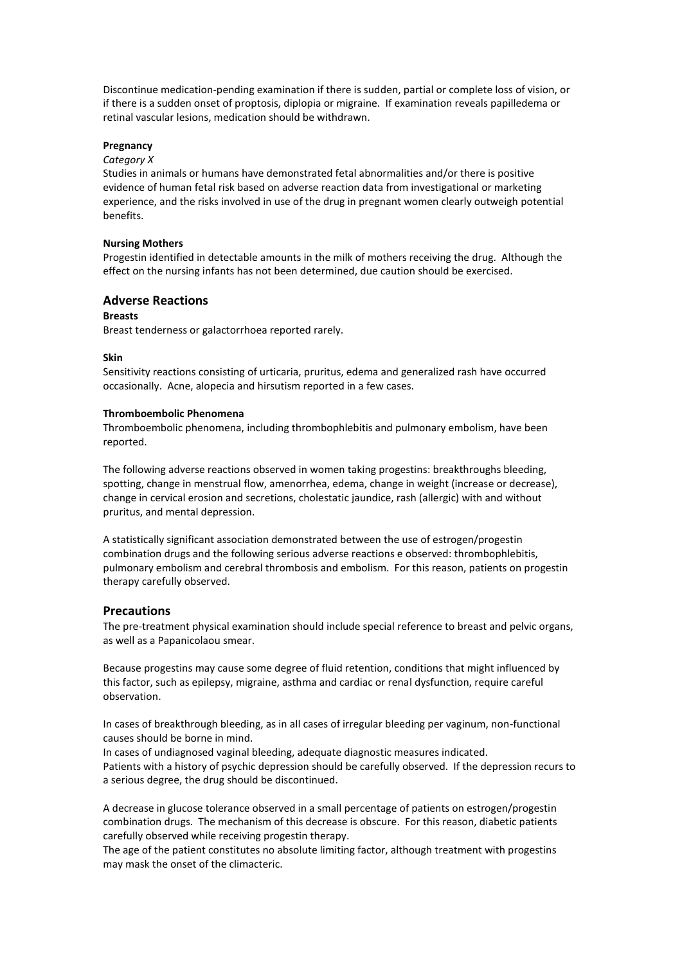Discontinue medication-pending examination if there is sudden, partial or complete loss of vision, or if there is a sudden onset of proptosis, diplopia or migraine. If examination reveals papilledema or retinal vascular lesions, medication should be withdrawn.

### **Pregnancy**

### *Category X*

Studies in animals or humans have demonstrated fetal abnormalities and/or there is positive evidence of human fetal risk based on adverse reaction data from investigational or marketing experience, and the risks involved in use of the drug in pregnant women clearly outweigh potential benefits.

#### **Nursing Mothers**

Progestin identified in detectable amounts in the milk of mothers receiving the drug. Although the effect on the nursing infants has not been determined, due caution should be exercised.

## **Adverse Reactions**

### **Breasts**

Breast tenderness or galactorrhoea reported rarely.

#### **Skin**

Sensitivity reactions consisting of urticaria, pruritus, edema and generalized rash have occurred occasionally. Acne, alopecia and hirsutism reported in a few cases.

#### **Thromboembolic Phenomena**

Thromboembolic phenomena, including thrombophlebitis and pulmonary embolism, have been reported.

The following adverse reactions observed in women taking progestins: breakthroughs bleeding, spotting, change in menstrual flow, amenorrhea, edema, change in weight (increase or decrease), change in cervical erosion and secretions, cholestatic jaundice, rash (allergic) with and without pruritus, and mental depression.

A statistically significant association demonstrated between the use of estrogen/progestin combination drugs and the following serious adverse reactions e observed: thrombophlebitis, pulmonary embolism and cerebral thrombosis and embolism. For this reason, patients on progestin therapy carefully observed.

#### **Precautions**

The pre-treatment physical examination should include special reference to breast and pelvic organs, as well as a Papanicolaou smear.

Because progestins may cause some degree of fluid retention, conditions that might influenced by this factor, such as epilepsy, migraine, asthma and cardiac or renal dysfunction, require careful observation.

In cases of breakthrough bleeding, as in all cases of irregular bleeding per vaginum, non-functional causes should be borne in mind.

In cases of undiagnosed vaginal bleeding, adequate diagnostic measures indicated. Patients with a history of psychic depression should be carefully observed. If the depression recurs to a serious degree, the drug should be discontinued.

A decrease in glucose tolerance observed in a small percentage of patients on estrogen/progestin combination drugs. The mechanism of this decrease is obscure. For this reason, diabetic patients carefully observed while receiving progestin therapy.

The age of the patient constitutes no absolute limiting factor, although treatment with progestins may mask the onset of the climacteric.